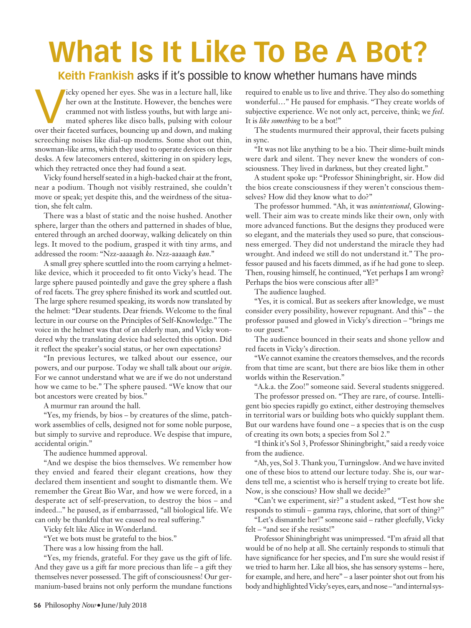## **What Is It Like To Be A Bot?**

## **Keith Frankish** asks if it's possible to know whether humans have minds

vicky opened her eyes. She was in a lecture hall, like<br>her own at the Institute. However, the benches were<br>crammed not with listless youths, but with large ani-<br>mated spheres like disco balls, pulsing with colour<br>over thei her own at the Institute. However, the benches were crammed not with listless youths, but with large animated spheres like disco balls, pulsing with colour screeching noises like dial-up modems. Some shot out thin, snowman-like arms, which they used to operate devices on their desks. A few latecomers entered, skittering in on spidery legs, which they retracted once they had found a seat.

Vicky found herself seated in a high-backed chair at the front, near a podium. Though not visibly restrained, she couldn't move or speak; yet despite this, and the weirdness of the situation, she felt calm.

There was a blast of static and the noise hushed. Another sphere, larger than the others and patterned in shades of blue, entered through an arched doorway, walking delicately on thin legs. It moved to the podium, grasped it with tiny arms, and addressed the room: "Nzz-aaaaagh *ko*. Nzz-aaaaagh *kan*."

A small grey sphere scuttled into the room carrying a helmetlike device, which it proceeded to fit onto Vicky's head. The large sphere paused pointedly and gave the grey sphere a flash of red facets. The grey sphere finished its work and scuttled out. The large sphere resumed speaking, its words now translated by the helmet: "Dear students. Dear friends. Welcome to the final lecture in our course on the Principles of Self-Knowledge." The voice in the helmet was that of an elderly man, and Vicky wondered why the translating device had selected this option. Did it reflect the speaker's social status, or her own expectations?

"In previous lectures, we talked about our essence, our powers, and our purpose. Today we shall talk about our *origin*. For we cannot understand what we are if we do not understand how we came to be." The sphere paused. "We know that our bot ancestors were created by bios."

A murmur ran around the hall.

"Yes, my friends, by bios – by creatures of the slime, patchwork assemblies of cells, designed not for some noble purpose, but simply to survive and reproduce. We despise that impure, accidental origin."

The audience hummed approval.

"And we despise the bios themselves. We remember how they envied and feared their elegant creations, how they declared them insentient and sought to dismantle them. We remember the Great Bio War, and how we were forced, in a desperate act of self-preservation, to destroy the bios – and indeed..." he paused, as if embarrassed, "all biological life. We can only be thankful that we caused no real suffering."

Vicky felt like Alice in Wonderland.

"Yet we bots must be grateful to the bios."

There was a low hissing from the hall.

"Yes, my friends, grateful. For they gave us the gift of life. And they gave us a gift far more precious than life – a gift they themselves never possessed. The gift of consciousness! Our germanium-based brains not only perform the mundane functions required to enable us to live and thrive. They also do something wonderful…" He paused for emphasis. "They create worlds of subjective experience. We not only act, perceive, think; we *feel*. It is *like something* to be a bot!"

The students murmured their approval, their facets pulsing in sync.

"It was not like anything to be a bio. Their slime-built minds were dark and silent. They never knew the wonders of consciousness. They lived in darkness, but they created light."

A student spoke up: "Professor Shiningbright, sir. How did the bios create consciousness if they weren't conscious themselves? How did they know what to do?"

The professor hummed. "Ah, it was *unintentional*, Glowingwell. Their aim was to create minds like their own, only with more advanced functions. But the designs they produced were so elegant, and the materials they used so pure, that consciousness emerged. They did not understand the miracle they had wrought. And indeed we still do not understand it." The professor paused and his facets dimmed, as if he had gone to sleep. Then, rousing himself, he continued, "Yet perhaps I am wrong? Perhaps the bios were conscious after all?"

The audience laughed.

"Yes, it is comical. But as seekers after knowledge, we must consider every possibility, however repugnant. And this" – the professor paused and glowed in Vicky's direction – "brings me to our guest."

The audience bounced in their seats and shone yellow and red facets in Vicky's direction.

"We cannot examine the creators themselves, and the records from that time are scant, but there are bios like them in other worlds within the Reservation."

"A.k.a. the Zoo!" someone said. Several students sniggered.

The professor pressed on. "They are rare, of course. Intelligent bio species rapidly go extinct, either destroying themselves in territorial wars or building bots who quickly supplant them. But our wardens have found one – a species that is on the cusp of creating its own bots; a species from Sol 2."

"I think it's Sol 3, Professor Shiningbright," said a reedy voice from the audience.

"Ah, yes, Sol 3. Thank you, Turningslow.And we have invited one of these bios to attend our lecture today. She is, our wardens tell me, a scientist who is herself trying to create bot life. Now, is she conscious? How shall we decide?"

"Can't we experiment, sir?" a student asked, "Test how she responds to stimuli – gamma rays, chlorine, that sort of thing?"

"Let's dismantle her!" someone said – rather gleefully, Vicky felt – "and see if she resists!"

Professor Shiningbright was unimpressed. "I'm afraid all that would be of no help at all. She certainly responds to stimuli that have significance for her species, and I'm sure she would resist if we tried to harm her. Like all bios, she has sensory systems – here, for example, and here, and here" – a laser pointer shot out from his body and highlighted Vicky's eyes, ears, and nose – "and internal sys-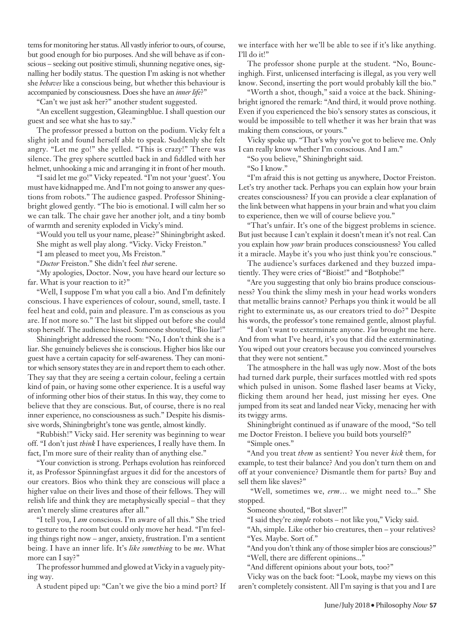tems for monitoring her status. All vastly inferior to ours, of course, but good enough for bio purposes. And she will behave as if conscious – seeking out positive stimuli, shunning negative ones, signalling her bodily status. The question I'm asking is not whether she *behaves* like a conscious being, but whether this behaviour is accompanied by consciousness. Does she have an *inner life*?"

"Can't we just ask her?" another student suggested.

"An excellent suggestion, Gleamingblue. I shall question our guest and see what she has to say."

The professor pressed a button on the podium. Vicky felt a slight jolt and found herself able to speak. Suddenly she felt angry. "Let me go!" she yelled. "This is crazy!" There was silence. The grey sphere scuttled back in and fiddled with her helmet, unhooking a mic and arranging it in front of her mouth.

"I said let me go!" Vicky repeated. "I'm not your 'guest'. You must have kidnapped me. And I'm not going to answer any questions from robots." The audience gasped. Professor Shiningbright glowed gently. "The bio is emotional. I will calm her so we can talk. The chair gave her another jolt, and a tiny bomb of warmth and serenity exploded in Vicky's mind.

"Would you tell us your name, please?" Shiningbright asked. She might as well play along. "Vicky. Vicky Freiston."

"I am pleased to meet you, Ms Freiston."

"*Doctor* Freiston." She didn't feel *that* serene.

"My apologies, Doctor. Now, you have heard our lecture so far. What is your reaction to it?"

"Well, I suppose I'm what you call a bio. And I'm definitely conscious. I have experiences of colour, sound, smell, taste. I feel heat and cold, pain and pleasure. I'm as conscious as you are. If not more so." The last bit slipped out before she could stop herself. The audience hissed. Someone shouted, "Bio liar!"

Shiningbright addressed the room: "No, I don't think she is a liar. She genuinely believes she is conscious. Higher bios like our guest have a certain capacity for self-awareness. They can monitor which sensory states they are in and report them to each other. They say that they are seeing a certain colour, feeling a certain kind of pain, or having some other experience. It is a useful way of informing other bios of their status. In this way, they come to believe that they are conscious. But, of course, there is no real inner experience, no consciousness as such." Despite his dismissive words, Shiningbright's tone was gentle, almost kindly.

"Rubbish!" Vicky said. Her serenity was beginning to wear off. "I don't just *think* I have experiences, I really have them. In fact, I'm more sure of their reality than of anything else."

"Your conviction is strong. Perhaps evolution has reinforced it, as Professor Spinningfast argues it did for the ancestors of our creators. Bios who think they are conscious will place a higher value on their lives and those of their fellows. They will relish life and think they are metaphysically special – that they aren't merely slime creatures after all."

"I tell you, I *am* conscious. I'm aware of all this." She tried to gesture to the room but could only move her head. "I'm feeling things right now – anger, anxiety, frustration. I'm a sentient being. I have an inner life. It's *like something* to be *me*. What more can I say?"

The professor hummed and glowed at Vicky in a vaguely pitying way.

A student piped up: "Can't we give the bio a mind port? If

we interface with her we'll be able to see if it's like anything. I'll do it!"

The professor shone purple at the student. "No, Bouncinghigh. First, unlicensed interfacing is illegal, as you very well know. Second, inserting the port would probably kill the bio."

"Worth a shot, though," said a voice at the back. Shiningbright ignored the remark: "And third, it would prove nothing. Even if you experienced the bio's sensory states as conscious, it would be impossible to tell whether it was her brain that was making them conscious, or yours."

Vicky spoke up. "That's why you've got to believe me. Only I can really know whether I'm conscious. And I am."

"So you believe," Shiningbright said.

"So I know."

"I'm afraid this is not getting us anywhere, Doctor Freiston. Let's try another tack. Perhaps you can explain how your brain creates consciousness? If you can provide a clear explanation of the link between what happens in your brain and what you claim to experience, then we will of course believe you."

"That's unfair. It's one of the biggest problems in science. But just because I can't explain it doesn't mean it's not real. Can you explain how *your* brain produces consciousness? You called it a miracle. Maybe it's you who just think you're conscious."

The audience's surfaces darkened and they buzzed impatiently. They were cries of "Bioist!" and "Botphobe!"

"Are you suggesting that only bio brains produce consciousness? You think the slimy mesh in your head works wonders that metallic brains cannot? Perhaps you think it would be all right to exterminate us, as our creators tried to do?" Despite his words, the professor's tone remained gentle, almost playful.

"I don't want to exterminate anyone. *You* brought me here. And from what I've heard, it's you that did the exterminating. You wiped out your creators because you convinced yourselves that they were not sentient."

The atmosphere in the hall was ugly now. Most of the bots had turned dark purple, their surfaces mottled with red spots which pulsed in unison. Some flashed laser beams at Vicky, flicking them around her head, just missing her eyes. One jumped from its seat and landed near Vicky, menacing her with its twiggy arms.

Shiningbright continued as if unaware of the mood, "So tell me Doctor Freiston. I believe you build bots yourself?"

"Simple ones."

"And you treat *them* as sentient? You never *kick* them, for example, to test their balance? And you don't turn them on and off at your convenience? Dismantle them for parts? Buy and sell them like slaves?"

"Well, sometimes we, *erm*… we might need to..." She stopped.

Someone shouted, "Bot slaver!"

"I said they're *simple* robots – not like you," Vicky said.

"Ah, simple. Like other bio creatures, then – your relatives? "Yes. Maybe. Sort of."

"And you don't think any of those simpler bios are conscious?" "Well, there are different opinions..."

"And different opinions about your bots, too?"

Vicky was on the back foot: "Look, maybe my views on this aren't completely consistent. All I'm saying is that you and I are